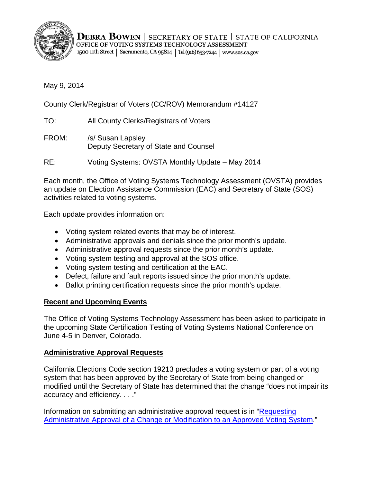

**DEBRA BOWEN** | SECRETARY OF STATE | STATE OF CALIFORNIA OFFICE OF VOTING SYSTEMS TECHNOLOGY ASSESSMENT 1500 11th Street | Sacramento, CA 95814 | Tel (916) 653-7244 | www.sos.ca.gov

May 9, 2014

County Clerk/Registrar of Voters (CC/ROV) Memorandum #14127

TO: All County Clerks/Registrars of Voters

FROM: /s/ Susan Lapsley Deputy Secretary of State and Counsel

RE: Voting Systems: OVSTA Monthly Update – May 2014

Each month, the Office of Voting Systems Technology Assessment (OVSTA) provides an update on Election Assistance Commission (EAC) and Secretary of State (SOS) activities related to voting systems.

Each update provides information on:

- Voting system related events that may be of interest.
- Administrative approvals and denials since the prior month's update.
- Administrative approval requests since the prior month's update.
- Voting system testing and approval at the SOS office.
- Voting system testing and certification at the EAC.
- Defect, failure and fault reports issued since the prior month's update.
- Ballot printing certification requests since the prior month's update.

# **Recent and Upcoming Events**

The Office of Voting Systems Technology Assessment has been asked to participate in the upcoming State Certification Testing of Voting Systems National Conference on June 4-5 in Denver, Colorado.

# **Administrative Approval Requests**

California Elections Code section 19213 precludes a voting system or part of a voting system that has been approved by the Secretary of State from being changed or modified until the Secretary of State has determined that the change "does not impair its accuracy and efficiency. . . ."

Information on submitting an administrative approval request is in ["Requesting](http://www.sos.ca.gov/voting-systems/cert-and-approval/vsysapproval/admin-approval-requirements2012.pdf)  [Administrative Approval of a Change or Modification](http://www.sos.ca.gov/voting-systems/cert-and-approval/vsysapproval/admin-approval-requirements2012.pdf) to an Approved Voting System."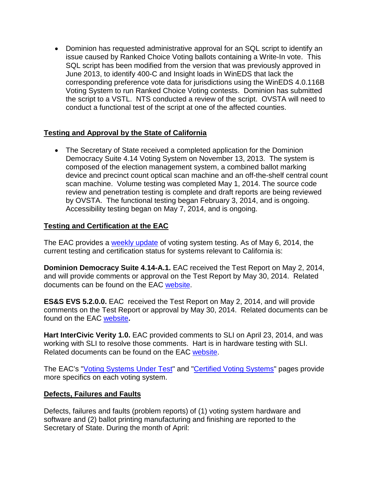• Dominion has requested administrative approval for an SQL script to identify an issue caused by Ranked Choice Voting ballots containing a Write-In vote. This SQL script has been modified from the version that was previously approved in June 2013, to identify 400-C and Insight loads in WinEDS that lack the corresponding preference vote data for jurisdictions using the WinEDS 4.0.116B Voting System to run Ranked Choice Voting contests. Dominion has submitted the script to a VSTL. NTS conducted a review of the script. OVSTA will need to conduct a functional test of the script at one of the affected counties.

# **Testing and Approval by the State of California**

• The Secretary of State received a completed application for the Dominion Democracy Suite 4.14 Voting System on November 13, 2013. The system is composed of the election management system, a combined ballot marking device and precinct count optical scan machine and an off-the-shelf central count scan machine. Volume testing was completed May 1, 2014. The source code review and penetration testing is complete and draft reports are being reviewed by OVSTA. The functional testing began February 3, 2014, and is ongoing. Accessibility testing began on May 7, 2014, and is ongoing.

## **Testing and Certification at the EAC**

The EAC provides a [weekly update](http://www.eac.gov/blogs/voting_system_testing_update_5614/) of voting system testing. As of May 6, 2014, the current testing and certification status for systems relevant to California is:

**Dominion Democracy Suite 4.14-A.1.** EAC received the Test Report on May 2, 2014, and will provide comments or approval on the Test Report by May 30, 2014. Related documents can be found on the EAC [website.](http://www.eac.gov/testing_and_certification/voting_systems_under_test.aspx)

**ES&S EVS 5.2.0.0.** EAC received the Test Report on May 2, 2014, and will provide comments on the Test Report or approval by May 30, 2014. Related documents can be found on the EAC [website](http://www.eac.gov/testing_and_certification/voting_systems_under_test.aspx)**.**

**Hart InterCivic Verity 1.0.** EAC provided comments to SLI on April 23, 2014, and was working with SLI to resolve those comments. Hart is in hardware testing with SLI. Related documents can be found on the EAC [website.](http://www.eac.gov/testing_and_certification/voting_systems_under_test.aspx)

The EAC's ["Voting Systems Under Test"](http://www.eac.gov/testing_and_certification/voting_systems_under_test.aspx) and ["Certified Voting Systems"](http://www.eac.gov/testing_and_certification/certified_voting_systems.aspx) pages provide more specifics on each voting system.

### **Defects, Failures and Faults**

Defects, failures and faults (problem reports) of (1) voting system hardware and software and (2) ballot printing manufacturing and finishing are reported to the Secretary of State. During the month of April: